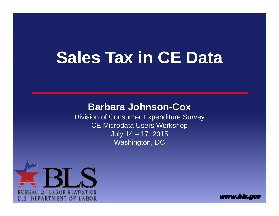# **Sales Tax in CE Data**

#### **Barbara Johnson-Cox**

Division of Consumer Expenditure Survey CE Microdata Users Workshop July 14 – 17, 2015 Washington, DC



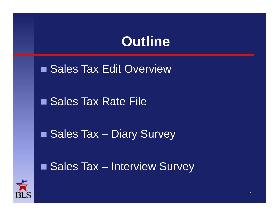#### **Outline**

■ Sales Tax Edit Overview

■ Sales Tax Rate File

■ Sales Tax – Diary Survey

■ Sales Tax – Interview Survey

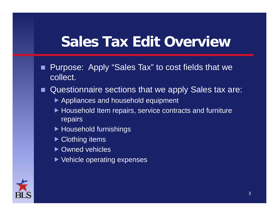#### **Sales Tax Edit Overview**

- Purpose: Apply "Sales Tax" to cost fields that we collect.
- Questionnaire sections that we apply Sales tax are:
	- ▶ Appliances and household equipment
	- ▶ Household Item repairs, service contracts and furniture repairs
	- ▶ Household furnishings
	- ▶ Clothing items
	- ▶ Owned vehicles
	- ▶ Vehicle operating expenses

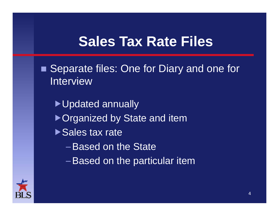#### **Sales Tax Rate Files**

■ Separate files: One for Diary and one for Interview

▶ Updated annually ▶ Organized by State and item ▶ Sales tax rate

–Based on the State

–Based on the particular item

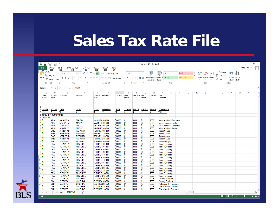### **Sales Tax Rate File**

| X∄<br>STAXTABL 2014 01 - Excel<br>$\ddot{\phantom{a}}$<br>7 |                                                                                                          |                               |                                                                                        |                                                     |                                                  |                                                                   |                  |                              |                       |                           |                      |                                                  |                       |                | <b>? 困 - 日 ×</b> |                      |        |                                          |                 |               |   |                       |
|-------------------------------------------------------------|----------------------------------------------------------------------------------------------------------|-------------------------------|----------------------------------------------------------------------------------------|-----------------------------------------------------|--------------------------------------------------|-------------------------------------------------------------------|------------------|------------------------------|-----------------------|---------------------------|----------------------|--------------------------------------------------|-----------------------|----------------|------------------|----------------------|--------|------------------------------------------|-----------------|---------------|---|-----------------------|
|                                                             | <b>FILE</b><br>HOME<br>H<br>INSERT<br>PAGE LAYOUT<br>FORMULAS<br>DATA<br>REVIEW<br><b>R</b><br>VIEW<br>W |                               |                                                                                        |                                                     |                                                  |                                                                   |                  |                              |                       |                           |                      |                                                  | Tseng, Neil - BLS v Q |                |                  |                      |        |                                          |                 |               |   |                       |
|                                                             | ŗ<br>X <sub>cut</sub>                                                                                    |                               | N                                                                                      | M                                                   | $\overline{A}$                                   |                                                                   |                  |                              |                       |                           |                      |                                                  |                       |                |                  |                      |        | $\sum$ AutoSum $\rightarrow$             |                 |               |   |                       |
|                                                             |                                                                                                          |                               | Arial                                                                                  | $\equiv$<br>$\overline{A}$<br>$-10$<br>$\mathbf{A}$ | $\equiv \equiv$                                  | Wrap Text<br>め・                                                   |                  | Text                         |                       |                           | ∎⊭                   | Normal                                           |                       | <b>Bad</b>     |                  | ŧ<br>$\mathbb{R}$    | f<br>₩ |                                          | $\frac{A}{Z}$   |               |   |                       |
| Paste                                                       | lin Copy +                                                                                               |                               | B I U                                                                                  | $\mathbb{H}$ +<br>⇘<br>$\mathbf{A}$ +               |                                                  | $\equiv \equiv \equiv \equiv \equiv \equiv$ Merge & Center $\sim$ |                  | $$ + 96 +$                   |                       | $+0.00$                   |                      | Conditional Format as Good                       |                       | <b>Neutral</b> | ╞                | Insert Delete Format |        | $\overline{\Psi}$ Fill $\overline{\Psi}$ |                 | Sort & Find & |   |                       |
|                                                             |                                                                                                          | Format Painter                |                                                                                        |                                                     |                                                  |                                                                   |                  |                              |                       |                           | Formatting * Table * |                                                  |                       |                |                  |                      |        | Clear -                                  | Filter v Select |               |   |                       |
|                                                             | Clipboard                                                                                                |                               | Гy.<br>Font<br>G.<br>Styles<br>Fs.<br>Alignment<br>$\overline{\mathbb{F}_2}$<br>Number |                                                     |                                                  |                                                                   |                  |                              |                       |                           |                      |                                                  |                       |                |                  | Cells                |        |                                          | Editing         |               |   | $\boldsymbol{\wedge}$ |
|                                                             |                                                                                                          |                               |                                                                                        |                                                     |                                                  |                                                                   |                  |                              |                       |                           |                      |                                                  |                       |                |                  |                      |        |                                          |                 |               |   |                       |
|                                                             | 116165                                                                                                   |                               | fx<br>$\times$<br>$\checkmark$<br>.06100                                               |                                                     |                                                  |                                                                   |                  |                              |                       |                           |                      |                                                  |                       |                |                  |                      |        |                                          |                 |               |   | $\checkmark$          |
|                                                             | $\mathbf{C}$                                                                                             | D                             | Ε                                                                                      | F                                                   | G                                                | H                                                                 |                  |                              | К                     |                           | M                    | N                                                | $\circ$               | P              | Q<br>R           | s                    | T      | U                                        | V               | W             | X | $Y =$                 |
|                                                             | <b>State FIPS Record</b><br>Code                                                                         | <b>Type</b>                   | <b>Item Code</b>                                                                       | <b>Screener</b>                                     | Field                                            | <b>Expense</b> Item Range                                         | <b>Tax Rate</b>  | <b>Start</b><br><b>Month</b> | <b>Start Year End</b> | <b>Month</b>              | <b>End Year</b>      | Row<br><b>Comment</b>                            |                       |                |                  |                      |        |                                          |                 |               |   |                       |
|                                                             |                                                                                                          |                               |                                                                                        |                                                     |                                                  |                                                                   |                  |                              |                       |                           |                      | <b>s</b>                                         |                       |                |                  |                      |        |                                          |                 |               |   |                       |
|                                                             |                                                                                                          |                               |                                                                                        |                                                     |                                                  |                                                                   |                  |                              |                       |                           |                      |                                                  |                       |                |                  |                      |        |                                          |                 |               |   |                       |
| $\overline{1}$                                              |                                                                                                          |                               |                                                                                        |                                                     |                                                  |                                                                   |                  |                              |                       |                           |                      |                                                  |                       |                |                  |                      |        |                                          |                 |               |   |                       |
| $\overline{2}$                                              | <b>STATE</b>                                                                                             | <b>RTYPE</b>                  | <b>ITEM</b>                                                                            | <b>SCRN</b>                                         | <b>COST</b>                                      | <b>ITEMRNG</b>                                                    | <b>RATE</b>      | <b>STAMO</b>                 | <b>STAYR</b>          | <b>ENDMO ENDYR</b>        |                      | <b>COMMENTS</b>                                  |                       |                |                  |                      |        |                                          |                 |               |   |                       |
| $\overline{3}$                                              | ъ                                                                                                        | ٠                             | 'n,                                                                                    |                                                     | 'n                                               | 7                                                                 | $\mathbf{B}$     | $\overline{2}$               | 4                     | $\overline{2}$            | $\overline{A}$       | 7200                                             |                       |                |                  |                      |        |                                          |                 |               |   |                       |
|                                                             |                                                                                                          | <b>4 AX TABLE (INTERVIEW)</b> |                                                                                        |                                                     |                                                  |                                                                   |                  |                              |                       |                           |                      |                                                  |                       |                |                  |                      |        |                                          |                 |               |   |                       |
| -5                                                          | Alabama                                                                                                  |                               |                                                                                        |                                                     |                                                  |                                                                   |                  |                              |                       |                           |                      |                                                  |                       |                |                  |                      |        |                                          |                 |               |   |                       |
| 6 <sup>1</sup>                                              | $^{6}$                                                                                                   | <b>APA</b>                    | <b>MAJAPPLY</b>                                                                        | <b>MAJTAX</b>                                       | <b>MAJPURX 100-999</b>                           |                                                                   | .06000           | $^{61}$                      | 1994                  | $^{6}$                    | 2003                 | Major Appliance Purchase                         |                       |                |                  |                      |        |                                          |                 |               |   |                       |
| $77$ 01                                                     |                                                                                                          | <b>APA</b>                    | <b>MAJAPPLY</b>                                                                        | <b>MAJTAX</b>                                       | <b>MAJRENT 100-999</b>                           |                                                                   | .06000           | $^{61}$                      | 1994                  | $^{6}$                    | 2003                 | <b>Major Appliance Rental</b>                    |                       |                |                  |                      |        |                                          |                 |               |   |                       |
| 8 01                                                        |                                                                                                          | <b>APB</b>                    | <b>MINAPPLY</b>                                                                        | <b>MINTAX</b>                                       | <b>MINPURX 100-999</b>                           |                                                                   | .06000           | $^{61}$                      | 1994                  | $^{6}$                    | 2003                 | Minor Appliance Purchase                         |                       |                |                  |                      |        |                                          |                 |               |   |                       |
| $9^{6}01$                                                   |                                                                                                          | <b>APB</b>                    | <b>MINAPPLY</b>                                                                        | <b>MINTAX</b>                                       | <b>MINRENT</b> 100-999                           |                                                                   | .06000           | $^{61}$                      | 1994                  | $^{6}$                    | 2003                 | <b>Minor Appliance Rental</b>                    |                       |                |                  |                      |        |                                          |                 |               |   |                       |
| 10 01<br>$11\ 01$                                           |                                                                                                          | EQB                           | <b>APPRPRYB</b>                                                                        | <b>REPAIRTX</b>                                     | <b>REPAIRX 100-110</b>                           |                                                                   | .06000           | $^{6}$<br>01                 | 1994                  | 0 <sub>3</sub><br>$^{63}$ | 2003<br>2003         | Repair/Service                                   |                       |                |                  |                      |        |                                          |                 |               |   |                       |
| 12 01                                                       |                                                                                                          | EQB<br>EQB                    | <b>APPRPRYB</b><br><b>APPRPRYB</b>                                                     | <b>REPAIRTX</b><br><b>REPAIRTX</b>                  | <b>REPAIRX 120-180</b><br><b>REPAIRX 190-200</b> |                                                                   | .06000<br>.06000 | 01                           | 1994<br>1994          | $^{63}$                   | 2003                 | Repair/Service                                   |                       |                |                  |                      |        |                                          |                 |               |   |                       |
| 13 01                                                       |                                                                                                          | EQB                           | <b>APPRPRYB</b>                                                                        | <b>REPAIRTX</b>                                     | <b>REPAIRX 210-220</b>                           |                                                                   | .06000           | 01                           | 1994                  | 03                        | 2003                 | Repair/Service<br>Repair/Service                 |                       |                |                  |                      |        |                                          |                 |               |   |                       |
| 14 01                                                       |                                                                                                          | <b>EQD</b>                    | <b>FURNREPY</b>                                                                        | <b>FRNREPTX</b>                                     | <b>FURNREF 100-999</b>                           |                                                                   | .06000           | $^{6}$                       | 1994                  | 03                        | 2001                 | <b>Furniture Repair</b>                          |                       |                |                  |                      |        |                                          |                 |               |   |                       |
| 15 01                                                       |                                                                                                          | <b>FRA</b>                    | <b>FURNPURY</b>                                                                        | <b>FRNPURTX</b>                                     | <b>FURNPUF 100-103</b>                           |                                                                   | .06000           | 01                           | 1994                  | 03                        | 2003                 | <b>Home Furnishing</b>                           |                       |                |                  |                      |        |                                          |                 |               |   |                       |
| 16 01                                                       |                                                                                                          | <b>FRA</b>                    | <b>FURNPURY</b>                                                                        | <b>FRNPURTX</b>                                     | <b>FURNPUF 104-104</b>                           |                                                                   | .06000           | 01                           | 1994                  | $^{6}$                    | 2003                 | <b>Home Furnishing</b>                           |                       |                |                  |                      |        |                                          |                 |               |   |                       |
| 17 01                                                       |                                                                                                          | <b>FRA</b>                    | <b>FURNPURY</b>                                                                        | <b>FRNPURTX</b>                                     | <b>FURNPUF 105-122</b>                           |                                                                   | .06000           | $^{61}$                      | 1994                  | $^{6}$                    | 2003                 | <b>Home Furnishing</b>                           |                       |                |                  |                      |        |                                          |                 |               |   |                       |
| 18 01                                                       |                                                                                                          | <b>FRA</b>                    | <b>FURNPURY</b>                                                                        | <b>FRNPURTX</b>                                     | <b>FURNPUF 130-131</b>                           |                                                                   | .06000           | 01                           | 1994                  | $^{6}$                    | 2003                 | <b>Home Furnishing</b>                           |                       |                |                  |                      |        |                                          |                 |               |   |                       |
| 19 01                                                       |                                                                                                          | <b>FRA</b>                    | <b>FURNPURY</b>                                                                        | <b>FRNPURTX</b>                                     | <b>FURNPUF 140-141</b>                           |                                                                   | .06000           | $^{6}$                       | 1994                  | $^{6}$                    | 2003                 | <b>Home Furnishing</b>                           |                       |                |                  |                      |        |                                          |                 |               |   |                       |
| 20 01                                                       |                                                                                                          | <b>FRA</b>                    | <b>FURNPURY</b>                                                                        | <b>FRNPURTX</b>                                     | <b>FURNPUF 150-160</b>                           |                                                                   | .06000           | 01                           | 1994                  | $^{6}$                    | 2003                 | <b>Home Furnishing</b>                           |                       |                |                  |                      |        |                                          |                 |               |   |                       |
| 21'01                                                       |                                                                                                          | <b>FRA</b>                    | <b>FURNPURY</b>                                                                        | <b>FRNPURTX</b>                                     | <b>FURNPUF 170-180</b>                           |                                                                   | .06000           | 01                           | 1994                  | $^{6}$                    | 2003                 | <b>Home Furnishing</b>                           |                       |                |                  |                      |        |                                          |                 |               |   |                       |
| 22 01<br>23 01                                              |                                                                                                          | <b>FRA</b>                    | <b>FURNPURY</b>                                                                        | <b>FRNPURTX</b>                                     | <b>FURNPUF 181-181</b>                           |                                                                   | .06000           | $^{6}$                       | 1994                  | $^{6}$                    | 2003                 | <b>Home Furnishing</b>                           |                       |                |                  |                      |        |                                          |                 |               |   |                       |
| 24 01                                                       |                                                                                                          | <b>FRA</b><br><b>FRA</b>      | <b>FURNPURY</b><br><b>FURNPURY</b>                                                     | <b>FRNPURTX</b><br><b>FRNPURTX</b>                  | <b>FURNPUF 190-198</b><br><b>FURNPUF 200-205</b> |                                                                   | .06000<br>.06000 | $^{6}$<br>$^{61}$            | 1994<br>1994          | $^{6}$<br>$^{6}$          | 2003<br>2003         | <b>Home Furnishing</b>                           |                       |                |                  |                      |        |                                          |                 |               |   |                       |
| 25 01                                                       |                                                                                                          | <b>FRA</b>                    | <b>FURNPURY</b>                                                                        | <b>FRNPURTX</b>                                     | <b>FURNPUF 210-213</b>                           |                                                                   | .06000           | $^{61}$                      | 1994                  | $^{6}$                    | 2003                 | <b>Home Furnishing</b><br><b>Home Furnishing</b> |                       |                |                  |                      |        |                                          |                 |               |   |                       |
| 26 01                                                       |                                                                                                          | <b>FRA</b>                    | <b>FURNPURY</b>                                                                        | <b>FRNPURTX</b>                                     | <b>FURNPUF 214-214</b>                           |                                                                   | .06000           | $^{61}$                      | 1994                  | $^{6}$                    | 2003                 | <b>Home Furnishing</b>                           |                       |                |                  |                      |        |                                          |                 |               |   |                       |
| 27 01                                                       |                                                                                                          | <b>FRA</b>                    | <b>FURNPURY</b>                                                                        | <b>FRNPURTX</b>                                     | <b>FURNPUF 215-220</b>                           |                                                                   | .06000           | 01                           | 1994                  | $^{6}$                    | 2003                 | <b>Home Furnishing</b>                           |                       |                |                  |                      |        |                                          |                 |               |   |                       |
| 28 01                                                       |                                                                                                          | <b>CLA</b>                    | <b>CLOTHYA</b>                                                                         | <b>CLOTHTXA</b>                                     | <b>CLOTHXA 100-270</b>                           |                                                                   | .06000           | $^{6}$                       | 1994                  | $^{6}$                    | 2003                 | <b>Clothing Purchase</b>                         |                       |                |                  |                      |        |                                          |                 |               |   |                       |
| 29 01                                                       |                                                                                                          | <b>CLA</b>                    | <b>CLOTHYA</b>                                                                         | <b>CLOTHTXA</b>                                     | <b>CLOTHXA 280-280</b>                           |                                                                   | .06000           | 01                           | 1994                  | $^{6}$                    | 2003                 | <b>Clothing Purchase</b>                         |                       |                |                  |                      |        |                                          |                 |               |   |                       |
| 30 01                                                       |                                                                                                          | <b>CLB</b>                    | <b>CLOTHYB</b>                                                                         | <b>CLOTHTXB</b>                                     | <b>CLOTHXB 290-360</b>                           |                                                                   | .06000           | 01                           | 1994                  | $^{63}$                   | 2003                 | <b>Watch/Jewelry Purchase</b>                    |                       |                |                  |                      |        |                                          |                 |               |   |                       |
| 31 01                                                       |                                                                                                          | <b>CLB</b>                    | <b>CLOTHYB</b>                                                                         | <b>CLOTHTXB</b>                                     | <b>CLOTHXB 370-380</b>                           |                                                                   | .06000           | 01                           | 1994                  | $^{6}$                    | 2003                 | <b>Watch/Jewelry Purchase</b>                    |                       |                |                  |                      |        |                                          |                 |               |   |                       |
| 32 01                                                       |                                                                                                          | <b>CLB</b>                    | <b>CLOTHYB</b>                                                                         | <b>CLOTHTXB</b>                                     | <b>CLOTHXB 390-390</b>                           |                                                                   | .06000           | $^{6}$                       | 1994                  | $^{63}$                   | 2003                 | <b>Watch/Jewelry Purchase</b>                    |                       |                |                  |                      |        |                                          |                 |               |   | ÷                     |
|                                                             | $\left\langle 1\right\rangle$                                                                            | <b>STAXTABD</b>               | <b>STAXTABI</b>                                                                        | $\bigoplus$                                         |                                                  |                                                                   |                  |                              |                       |                           |                      |                                                  |                       | $\frac{1}{2}$  |                  |                      |        |                                          |                 |               |   | $\rightarrow$         |
| <b>READY</b>                                                |                                                                                                          |                               |                                                                                        |                                                     |                                                  |                                                                   |                  |                              |                       |                           |                      |                                                  |                       |                |                  |                      |        | 囲                                        | 画<br>圓          | $\sim$ $-$    |   | + 100%                |

 $\frac{1}{2}$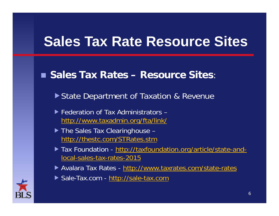### **Sales Tax Rate Resource Sites**

#### ■ Sales Tax Rates – Resource Sites:

▶ State Department of Taxation & Revenue

- ▶ Federation of Tax Administrators http://www.taxadmin.org/fta/link/
- ▶ The Sales Tax Clearinghouse http://thestc.com/STRates.stm
- ▶ Tax Foundation http://taxfoundation.org/article/state-andlocal-sales-tax-rates-2015
- ▶ Avalara Tax Rates http://www.taxrates.com/state-rates
- ▶ Sale-Tax.com http://sale-tax.com

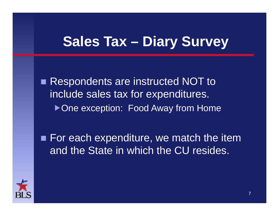#### **Sales Tax – Diary Survey**

 $\blacksquare$  Respondents are instructed NOT to include sales tax for expenditures. ▶ One exception: Food Away from Home

■ For each expenditure, we match the item and the State in which the CU resides.

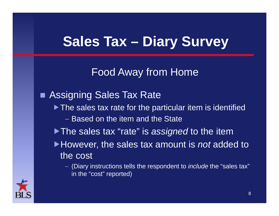### **Sales Tax – Diary Survey**

Food Away from Home

 Assigning Sales Tax Rate ▶ The sales tax rate for the particular item is identified – Based on the item and the State▶ The sales tax "rate" is *assigned* to the item However, the sales tax amount is *not* added to the cost – (Diary instructions tells the respondent to *include* the "sales tax"

in the "cost" reported)

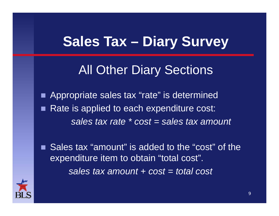#### **Sales Tax – Diary Survey**

#### All Other Diary Sections

 Appropriate sales tax "rate" is determined **Service Service**  Rate is applied to each expenditure cost: *sales tax rate \* cost = sales tax amount*

■ Sales tax "amount" is added to the "cost" of the expenditure item to obtain "total cost". *sales tax amount + cost = total cost*

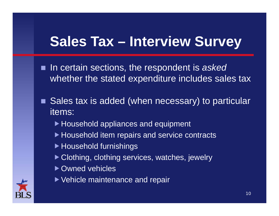#### **Sales Tax – Interview Survey**

- In certain sections, the respondent is *asked* whether the stated expenditure includes sales tax
- Sales tax is added (when necessary) to particular items:
	- ▶ Household appliances and equipment
	- ▶ Household item repairs and service contracts
	- ▶ Household furnishings
	- ▶ Clothing, clothing services, watches, jewelry
	- ▶ Owned vehicles
	- ▶ Vehicle maintenance and repair

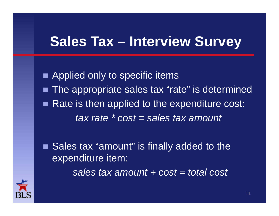#### **Sales Tax – Interview Survey**

**Applied only to specific items**  $\blacksquare$  The appropriate sales tax "rate" is determined п Rate is then applied to the expenditure cost: *tax rate \* cost = sales tax amount*

 Sales tax "amount" is finally added to the expenditure item:

*sales tax amount + cost = total cost*

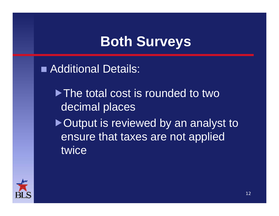## **Both Surveys**

■ Additional Details:

▶ The total cost is rounded to two decimal places

▶ Output is reviewed by an analyst to ensure that taxes are not applied twice